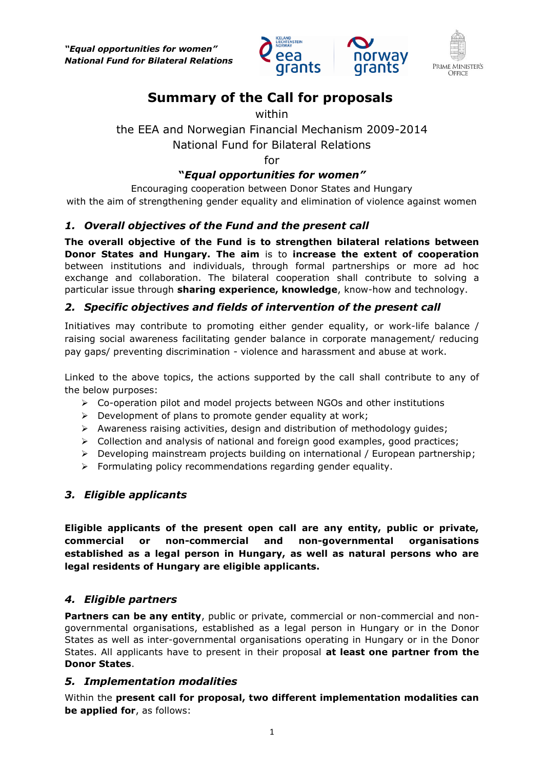*"Equal opportunities for women" National Fund for Bilateral Relations*





# **Summary of the Call for proposals**

#### within

## the EEA and Norwegian Financial Mechanism 2009-2014 National Fund for Bilateral Relations

for

## **"***Equal opportunities for women"*

Encouraging cooperation between Donor States and Hungary with the aim of strengthening gender equality and elimination of violence against women

## *1. Overall objectives of the Fund and the present call*

**The overall objective of the Fund is to strengthen bilateral relations between Donor States and Hungary. The aim** is to **increase the extent of cooperation** between institutions and individuals, through formal partnerships or more ad hoc exchange and collaboration. The bilateral cooperation shall contribute to solving a particular issue through **sharing experience, knowledge**, know-how and technology.

## *2. Specific objectives and fields of intervention of the present call*

Initiatives may contribute to promoting either gender equality, or work-life balance / raising social awareness facilitating gender balance in corporate management/ reducing pay gaps/ preventing discrimination - violence and harassment and abuse at work.

Linked to the above topics, the actions supported by the call shall contribute to any of the below purposes:

- $\triangleright$  Co-operation pilot and model projects between NGOs and other institutions
- $\triangleright$  Development of plans to promote gender equality at work;
- $\triangleright$  Awareness raising activities, design and distribution of methodology guides;
- Collection and analysis of national and foreign good examples, good practices;
- ▶ Developing mainstream projects building on international / European partnership;
- $\triangleright$  Formulating policy recommendations regarding gender equality.

## *3. Eligible applicants*

**Eligible applicants of the present open call are any entity, public or private, commercial or non-commercial and non-governmental organisations established as a legal person in Hungary, as well as natural persons who are legal residents of Hungary are eligible applicants.**

## *4. Eligible partners*

**Partners can be any entity**, public or private, commercial or non-commercial and nongovernmental organisations, established as a legal person in Hungary or in the Donor States as well as inter-governmental organisations operating in Hungary or in the Donor States. All applicants have to present in their proposal **at least one partner from the Donor States**.

## *5. Implementation modalities*

Within the **present call for proposal, two different implementation modalities can be applied for**, as follows: